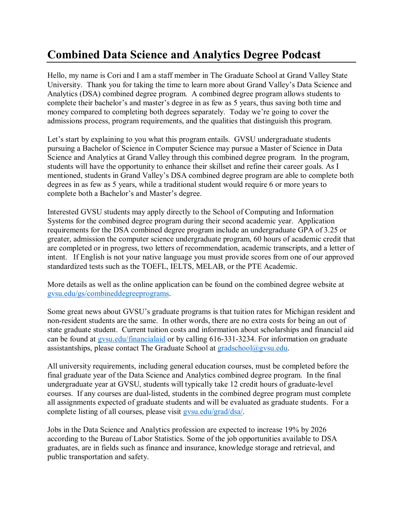## **Combined Data Science and Analytics Degree Podcast**

Hello, my name is Cori and I am a staff member in The Graduate School at Grand Valley State University. Thank you for taking the time to learn more about Grand Valley's Data Science and Analytics (DSA) combined degree program. A combined degree program allows students to complete their bachelor's and master's degree in as few as 5 years, thus saving both time and money compared to completing both degrees separately. Today we're going to cover the admissions process, program requirements, and the qualities that distinguish this program.

Let's start by explaining to you what this program entails. GVSU undergraduate students pursuing a Bachelor of Science in Computer Science may pursue a Master of Science in Data Science and Analytics at Grand Valley through this combined degree program. In the program, students will have the opportunity to enhance their skillset and refine their career goals. As I mentioned, students in Grand Valley's DSA combined degree program are able to complete both degrees in as few as 5 years, while a traditional student would require 6 or more years to complete both a Bachelor's and Master's degree.

Interested GVSU students may apply directly to the School of Computing and Information Systems for the combined degree program during their second academic year. Application requirements for the DSA combined degree program include an undergraduate GPA of 3.25 or greater, admission the computer science undergraduate program, 60 hours of academic credit that are completed or in progress, two letters of recommendation, academic transcripts, and a letter of intent. If English is not your native language you must provide scores from one of our approved standardized tests such as the TOEFL, IELTS, MELAB, or the PTE Academic.

More details as well as the online application can be found on the combined degree website at [gvsu.edu/gs/combineddegreeprograms.](http://www.gvsu.edu/gs/combineddegreeprograms)

Some great news about GVSU's graduate programs is that tuition rates for Michigan resident and non-resident students are the same. In other words, there are no extra costs for being an out of state graduate student. Current tuition costs and information about scholarships and financial aid can be found at [gvsu.edu/financialaid](http://www.gvsu.edu/financialaid) or by calling 616-331-3234. For information on graduate assistantships, please contact The Graduate School at [gradschool@gvsu.edu.](mailto:gradschool@gvsu.edu)

All university requirements, including general education courses, must be completed before the final graduate year of the Data Science and Analytics combined degree program. In the final undergraduate year at GVSU, students will typically take 12 credit hours of graduate-level courses. If any courses are dual-listed, students in the combined degree program must complete all assignments expected of graduate students and will be evaluated as graduate students. For a complete listing of all courses, please visit [gvsu.edu/grad/dsa/.](https://www.gvsu.edu/grad/dsa/)

Jobs in the Data Science and Analytics profession are expected to increase 19% by 2026 according to the Bureau of Labor Statistics. Some of the job opportunities available to DSA graduates, are in fields such as finance and insurance, knowledge storage and retrieval, and public transportation and safety.